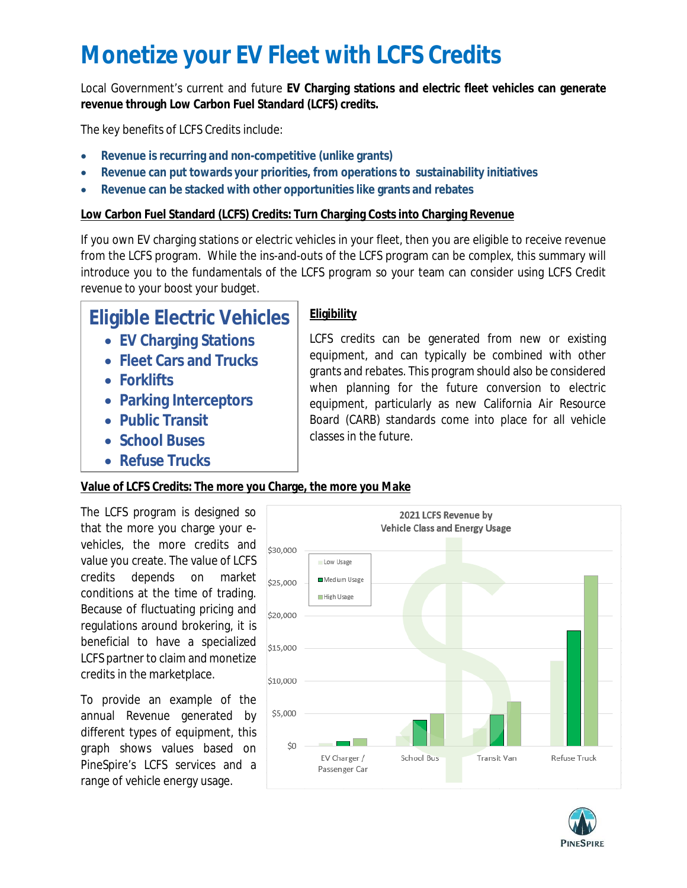# **Monetize your EV Fleet with LCFS Credits**

Local Government's current and future **EV Charging stations and electric fleet vehicles can generate revenue through Low Carbon Fuel Standard (LCFS) credits.**

The key benefits of LCFS Credits include:

- **Revenue is recurring and non-competitive (unlike grants)**
- **Revenue can put towards your priorities, from operations to sustainability initiatives**
- **Revenue can be stacked with other opportunities like grants and rebates**

## **Low Carbon Fuel Standard (LCFS) Credits: Turn Charging Costs into Charging Revenue**

If you own EV charging stations or electric vehicles in your fleet, then you are eligible to receive revenue from the LCFS program. While the ins-and-outs of the LCFS program can be complex, this summary will introduce you to the fundamentals of the LCFS program so your team can consider using LCFS Credit revenue to your boost your budget.

# **Eligible Electric Vehicles**

- **EV Charging Stations**
- **Fleet Cars and Trucks**
- **Forklifts**
- **Parking Interceptors**
- **Public Transit**
- **School Buses**
- **Refuse Trucks**

# **Eligibility**

LCFS credits can be generated from new or existing equipment, and can typically be combined with other grants and rebates. This program should also be considered when planning for the future conversion to electric equipment, particularly as new California Air Resource Board (CARB) standards come into place for all vehicle classes in the future.

# **Value of LCFS Credits: The more you Charge, the more you Make**

The LCFS program is designed so that the more you charge your evehicles, the more credits and value you create. The value of LCFS credits depends on market conditions at the time of trading. Because of fluctuating pricing and regulations around brokering, it is beneficial to have a specialized LCFS partner to claim and monetize credits in the marketplace.

To provide an example of the annual Revenue generated by different types of equipment, this graph shows values based on PineSpire's LCFS services and a range of vehicle energy usage.



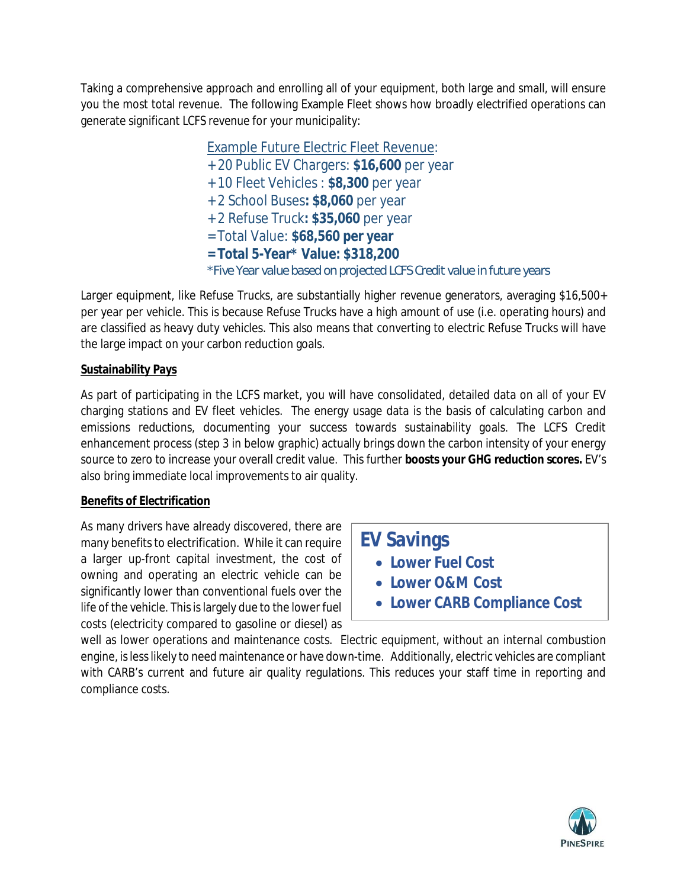Taking a comprehensive approach and enrolling all of your equipment, both large and small, will ensure you the most total revenue. The following Example Fleet shows how broadly electrified operations can generate significant LCFS revenue for your municipality:

> Example Future Electric Fleet Revenue: + 20 Public EV Chargers: **\$16,600** per year + 10 Fleet Vehicles : **\$8,300** per year + 2 School Buses**: \$8,060** per year + 2 Refuse Truck**: \$35,060** per year = Total Value: **\$68,560 per year = Total 5-Year\* Value: \$318,200** *\*Five Year value based on projected LCFS Credit value in future years*

Larger equipment, like Refuse Trucks, are substantially higher revenue generators, averaging \$16,500+ per year per vehicle. This is because Refuse Trucks have a high amount of use (i.e. operating hours) and are classified as heavy duty vehicles. This also means that converting to electric Refuse Trucks will have the large impact on your carbon reduction goals.

### **Sustainability Pays**

As part of participating in the LCFS market, you will have consolidated, detailed data on all of your EV charging stations and EV fleet vehicles. The energy usage data is the basis of calculating carbon and emissions reductions, documenting your success towards sustainability goals. The LCFS Credit enhancement process (step 3 in below graphic) actually brings down the carbon intensity of your energy source to zero to increase your overall credit value. This further **boosts your GHG reduction scores.** EV's also bring immediate local improvements to air quality.

### **Benefits of Electrification**

As many drivers have already discovered, there are many benefits to electrification. While it can require a larger up-front capital investment, the cost of owning and operating an electric vehicle can be significantly lower than conventional fuels over the life of the vehicle. This is largely due to the lower fuel costs (electricity compared to gasoline or diesel) as

**EV Savings**

- **Lower Fuel Cost**
- **Lower O&M Cost**
- **Lower CARB Compliance Cost**

well as lower operations and maintenance costs. Electric equipment, without an internal combustion engine, is less likely to need maintenance or have down-time. Additionally, electric vehicles are compliant with CARB's current and future air quality regulations. This reduces your staff time in reporting and compliance costs.

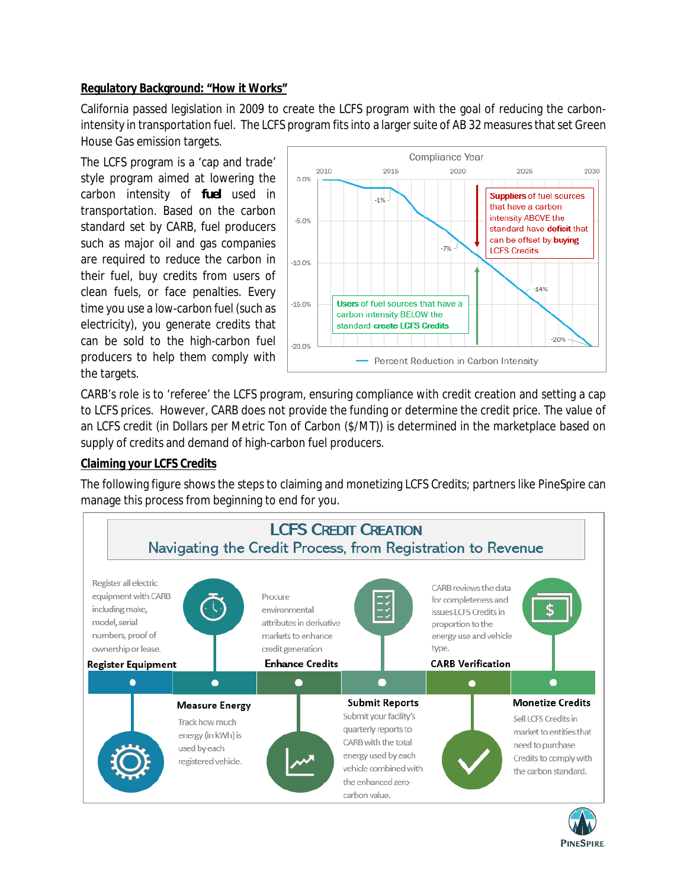#### **Regulatory Background: "How it Works"**

California passed legislation in 2009 to create the LCFS program with the goal of reducing the carbonintensity in transportation fuel. The LCFS program fits into a larger suite of AB 32 measures that set Green House Gas emission targets.

The LCFS program is a 'cap and trade' style program aimed at lowering the carbon intensity of *fuel* used in transportation. Based on the carbon standard set by CARB, fuel producers such as major oil and gas companies are required to reduce the carbon in their fuel, buy credits from users of clean fuels, or face penalties. Every time you use a low-carbon fuel (such as electricity), you generate credits that can be sold to the high-carbon fuel producers to help them comply with the targets.



CARB's role is to 'referee' the LCFS program, ensuring compliance with credit creation and setting a cap to LCFS prices. However, CARB does not provide the funding or determine the credit price. The value of an LCFS credit (in Dollars per Metric Ton of Carbon (\$/MT)) is determined in the marketplace based on supply of credits and demand of high-carbon fuel producers.

#### **Claiming your LCFS Credits**

The following figure shows the steps to claiming and monetizing LCFS Credits; partners like PineSpire can manage this process from beginning to end for you.